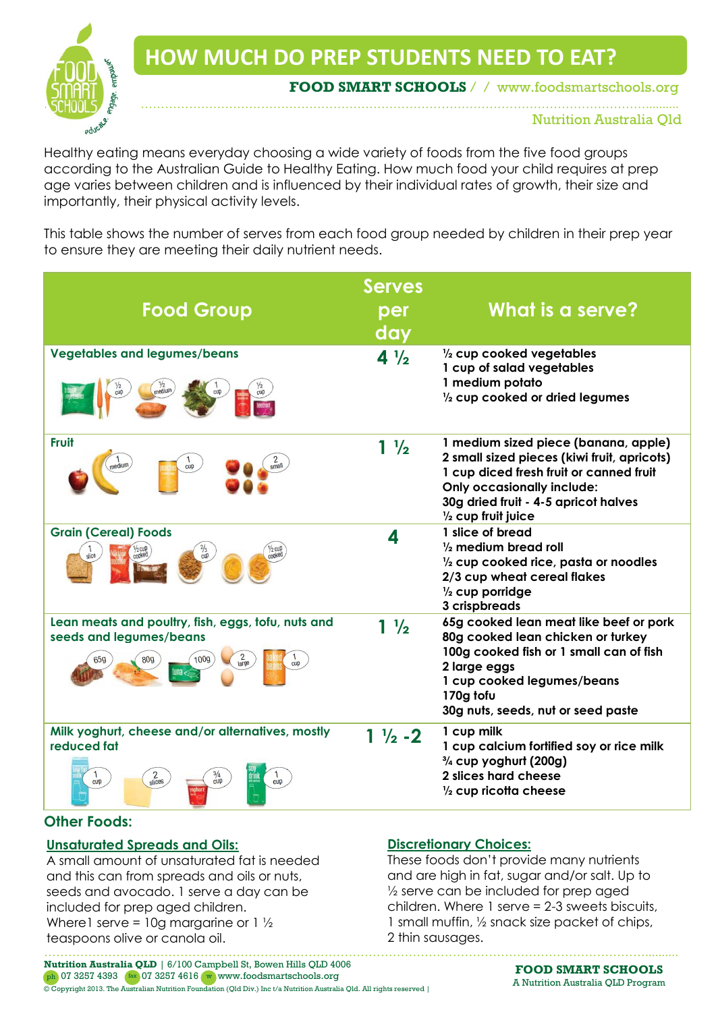

**HOW MUCH DO PREP STUDENTS NEED TO EAT?**

…………… ………………………………………………………………………………………………………………..........

**FOOD SMART SCHOOLS** / / www.foodsmartschools.org

Nutrition Australia Qld

Healthy eating means everyday choosing a wide variety of foods from the five food groups according to the Australian Guide to Healthy Eating. How much food your child requires at prep age varies between children and is influenced by their individual rates of growth, their size and importantly, their physical activity levels.

This table shows the number of serves from each food group needed by children in their prep year to ensure they are meeting their daily nutrient needs.

| <b>Food Group</b>                                                                                                                        | <b>Serves</b><br>per<br>day | What is a serve?                                                                                                                                                                                                                             |
|------------------------------------------------------------------------------------------------------------------------------------------|-----------------------------|----------------------------------------------------------------------------------------------------------------------------------------------------------------------------------------------------------------------------------------------|
| <b>Vegetables and legumes/beans</b>                                                                                                      | $4\frac{1}{2}$              | $\frac{1}{2}$ cup cooked vegetables<br>1 cup of salad vegetables<br>1 medium potato<br>$\frac{1}{2}$ cup cooked or dried legumes                                                                                                             |
| <b>Fruit</b><br>medium<br>cup                                                                                                            | $1\frac{1}{2}$              | 1 medium sized piece (banana, apple)<br>2 small sized pieces (kiwi fruit, apricots)<br>1 cup diced fresh fruit or canned fruit<br><b>Only occasionally include:</b><br>30g dried fruit - 4-5 apricot halves<br>$\frac{1}{2}$ cup fruit juice |
| <b>Grain (Cereal) Foods</b>                                                                                                              | 4                           | 1 slice of bread<br>$\frac{1}{2}$ medium bread roll<br>$\frac{1}{2}$ cup cooked rice, pasta or noodles<br>2/3 cup wheat cereal flakes<br>$\frac{1}{2}$ cup porridge<br>3 crispbreads                                                         |
| Lean meats and poultry, fish, eggs, tofu, nuts and<br>seeds and legumes/beans<br>$\frac{2}{\text{large}}$<br>cup                         | $1\frac{1}{2}$              | 65g cooked lean meat like beef or pork<br>80g cooked lean chicken or turkey<br>100g cooked fish or 1 small can of fish<br>2 large eggs<br>1 cup cooked legumes/beans<br>170g tofu<br>30g nuts, seeds, nut or seed paste                      |
| Milk yoghurt, cheese and/or alternatives, mostly<br>reduced fat<br>$\frac{2}{\text{slices}}$<br>$\frac{1}{\text{cup}}$<br>$c$ up<br>cupp | $1\frac{1}{2}$ - 2          | 1 cup milk<br>1 cup calcium fortified soy or rice milk<br>3/4 cup yoghurt (200g)<br>2 slices hard cheese<br>$\frac{1}{2}$ cup ricotta cheese                                                                                                 |

## **Other Foods:**

## **Unsaturated Spreads and Oils:**

A small amount of unsaturated fat is needed and this can from spreads and oils or nuts, seeds and avocado. 1 serve a day can be included for prep aged children. Where 1 serve = 10g margarine or  $1\frac{1}{2}$ teaspoons olive or canola oil.

## **Discretionary Choices:**

These foods don't provide many nutrients and are high in fat, sugar and/or salt. Up to ½ serve can be included for prep aged children. Where 1 serve = 2-3 sweets biscuits, 1 small muffin, ½ snack size packet of chips, 2 thin sausages.

…………………………………………………………………………………………………………………………………….......... **Nutrition Australia QLD** | 6/100 Campbell St, Bowen Hills QLD 4006 ph 07 3257 4393 (fax 07 3257 4616 w www.foodsmartschools.org © Copyright 2013. The Australian Nutrition Foundation (Qld Div.) Inc t/a Nutrition Australia Qld. All rights reserved |